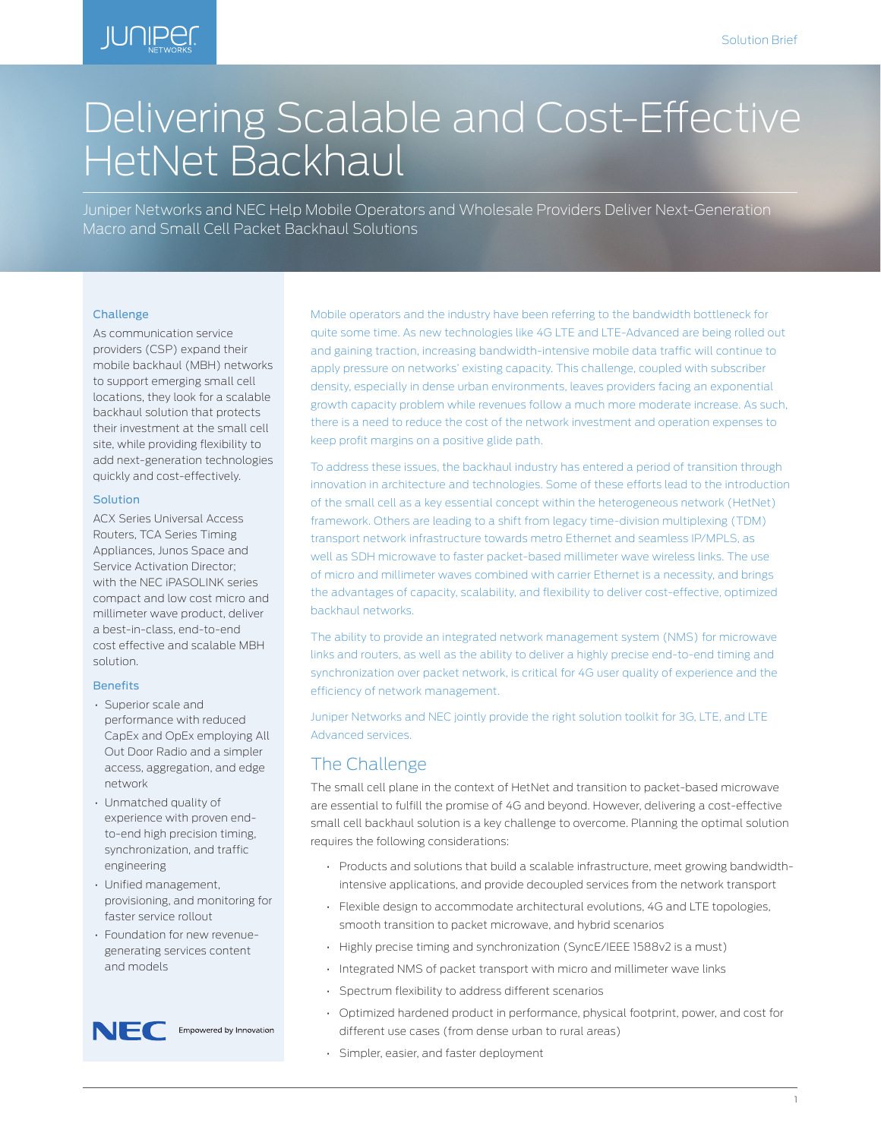## **IUNIPEC**

# Delivering Scalable and Cost-Effective HetNet Backhaul

Juniper Networks and NEC Help Mobile Operators and Wholesale Providers Deliver Next-Generation Macro and Small Cell Packet Backhaul Solutions

#### Challenge

As communication service providers (CSP) expand their mobile backhaul (MBH) networks to support emerging small cell locations, they look for a scalable backhaul solution that protects their investment at the small cell site, while providing flexibility to add next-generation technologies quickly and cost-effectively.

#### Solution

ACX Series Universal Access Routers, TCA Series Timing Appliances, Junos Space and Service Activation Director; with the NEC iPASOLINK series compact and low cost micro and millimeter wave product, deliver a best-in-class, end-to-end cost effective and scalable MBH solution.

#### Benefits

- Superior scale and performance with reduced CapEx and OpEx employing All Out Door Radio and a simpler access, aggregation, and edge network
- Unmatched quality of experience with proven endto-end high precision timing, synchronization, and traffic engineering
- Unified management, provisioning, and monitoring for faster service rollout
- Foundation for new revenuegenerating services content and models



Mobile operators and the industry have been referring to the bandwidth bottleneck for quite some time. As new technologies like 4G LTE and LTE-Advanced are being rolled out and gaining traction, increasing bandwidth-intensive mobile data traffic will continue to apply pressure on networks' existing capacity. This challenge, coupled with subscriber density, especially in dense urban environments, leaves providers facing an exponential growth capacity problem while revenues follow a much more moderate increase. As such, there is a need to reduce the cost of the network investment and operation expenses to keep profit margins on a positive glide path.

To address these issues, the backhaul industry has entered a period of transition through innovation in architecture and technologies. Some of these efforts lead to the introduction of the small cell as a key essential concept within the heterogeneous network (HetNet) framework. Others are leading to a shift from legacy time-division multiplexing (TDM) transport network infrastructure towards metro Ethernet and seamless IP/MPLS, as well as SDH microwave to faster packet-based millimeter wave wireless links. The use of micro and millimeter waves combined with carrier Ethernet is a necessity, and brings the advantages of capacity, scalability, and flexibility to deliver cost-effective, optimized backhaul networks.

The ability to provide an integrated network management system (NMS) for microwave links and routers, as well as the ability to deliver a highly precise end-to-end timing and synchronization over packet network, is critical for 4G user quality of experience and the efficiency of network management.

Juniper Networks and NEC jointly provide the right solution toolkit for 3G, LTE, and LTE Advanced services.

#### The Challenge

The small cell plane in the context of HetNet and transition to packet-based microwave are essential to fulfill the promise of 4G and beyond. However, delivering a cost-effective small cell backhaul solution is a key challenge to overcome. Planning the optimal solution requires the following considerations:

- Products and solutions that build a scalable infrastructure, meet growing bandwidthintensive applications, and provide decoupled services from the network transport
- Flexible design to accommodate architectural evolutions, 4G and LTE topologies, smooth transition to packet microwave, and hybrid scenarios
- Highly precise timing and synchronization (SyncE/IEEE 1588v2 is a must)
- Integrated NMS of packet transport with micro and millimeter wave links
- Spectrum flexibility to address different scenarios
- Optimized hardened product in performance, physical footprint, power, and cost for different use cases (from dense urban to rural areas)
- Simpler, easier, and faster deployment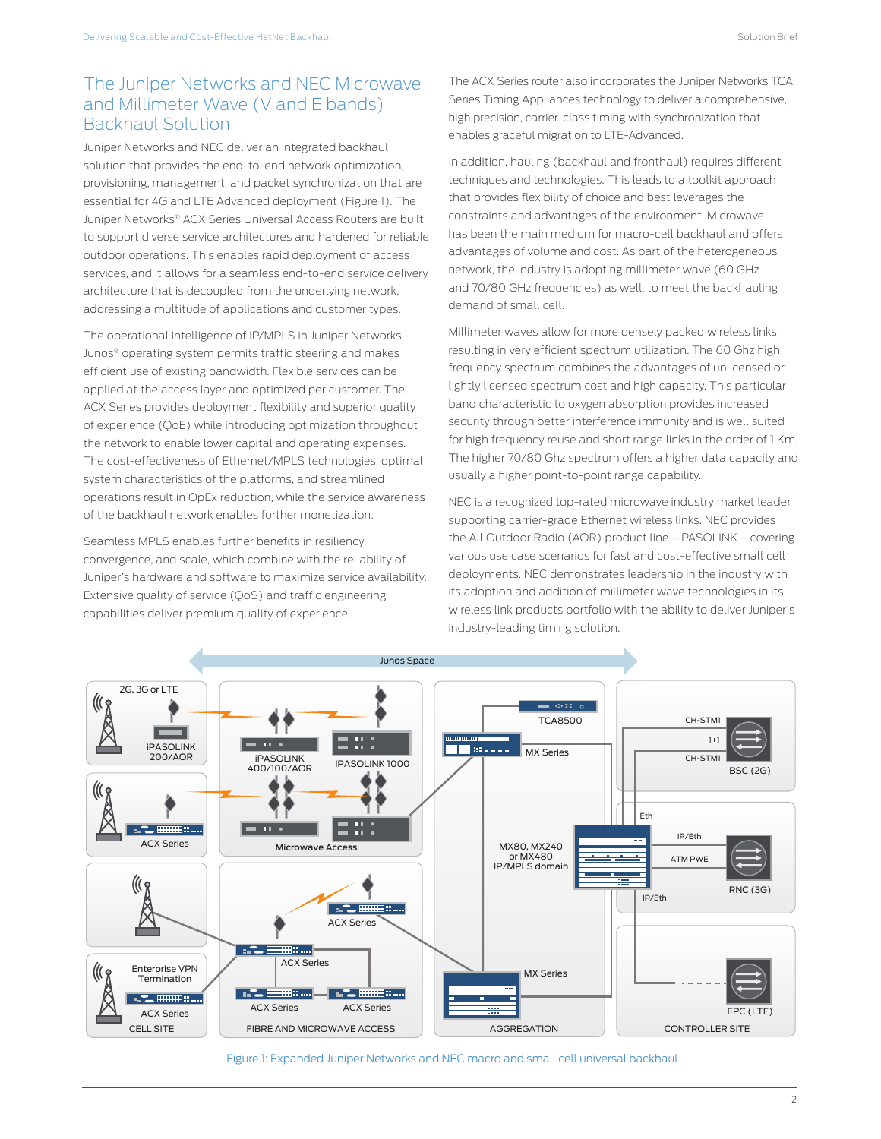## The Juniper Networks and NEC Microwave and Millimeter Wave (V and E bands) Backhaul Solution

Juniper Networks and NEC deliver an integrated backhaul solution that provides the end-to-end network optimization, provisioning, management, and packet synchronization that are essential for 4G and LTE Advanced deployment (Figure 1). The Juniper Networks® ACX Series Universal Access Routers are built to support diverse service architectures and hardened for reliable outdoor operations. This enables rapid deployment of access services, and it allows for a seamless end-to-end service delivery architecture that is decoupled from the underlying network, addressing a multitude of applications and customer types.

The operational intelligence of IP/MPLS in Juniper Networks Junos® operating system permits traffic steering and makes efficient use of existing bandwidth. Flexible services can be applied at the access layer and optimized per customer. The ACX Series provides deployment flexibility and superior quality of experience (QoE) while introducing optimization throughout the network to enable lower capital and operating expenses. The cost-effectiveness of Ethernet/MPLS technologies, optimal system characteristics of the platforms, and streamlined operations result in OpEx reduction, while the service awareness of the backhaul network enables further monetization.

Seamless MPLS enables further benefits in resiliency, convergence, and scale, which combine with the reliability of Juniper's hardware and software to maximize service availability. Extensive quality of service (QoS) and traffic engineering capabilities deliver premium quality of experience.

The ACX Series router also incorporates the Juniper Networks TCA Series Timing Appliances technology to deliver a comprehensive, high precision, carrier-class timing with synchronization that enables graceful migration to LTE-Advanced.

In addition, hauling (backhaul and fronthaul) requires different techniques and technologies. This leads to a toolkit approach that provides flexibility of choice and best leverages the constraints and advantages of the environment. Microwave has been the main medium for macro-cell backhaul and offers advantages of volume and cost. As part of the heterogeneous network, the industry is adopting millimeter wave (60 GHz and 70/80 GHz frequencies) as well, to meet the backhauling demand of small cell.

Millimeter waves allow for more densely packed wireless links resulting in very efficient spectrum utilization. The 60 Ghz high frequency spectrum combines the advantages of unlicensed or lightly licensed spectrum cost and high capacity. This particular band characteristic to oxygen absorption provides increased security through better interference immunity and is well suited for high frequency reuse and short range links in the order of 1 Km. The higher 70/80 Ghz spectrum offers a higher data capacity and usually a higher point-to-point range capability.

NEC is a recognized top-rated microwave industry market leader supporting carrier-grade Ethernet wireless links. NEC provides the All Outdoor Radio (AOR) product line—iPASOLINK— covering various use case scenarios for fast and cost-effective small cell deployments. NEC demonstrates leadership in the industry with its adoption and addition of millimeter wave technologies in its wireless link products portfolio with the ability to deliver Juniper's industry-leading timing solution.



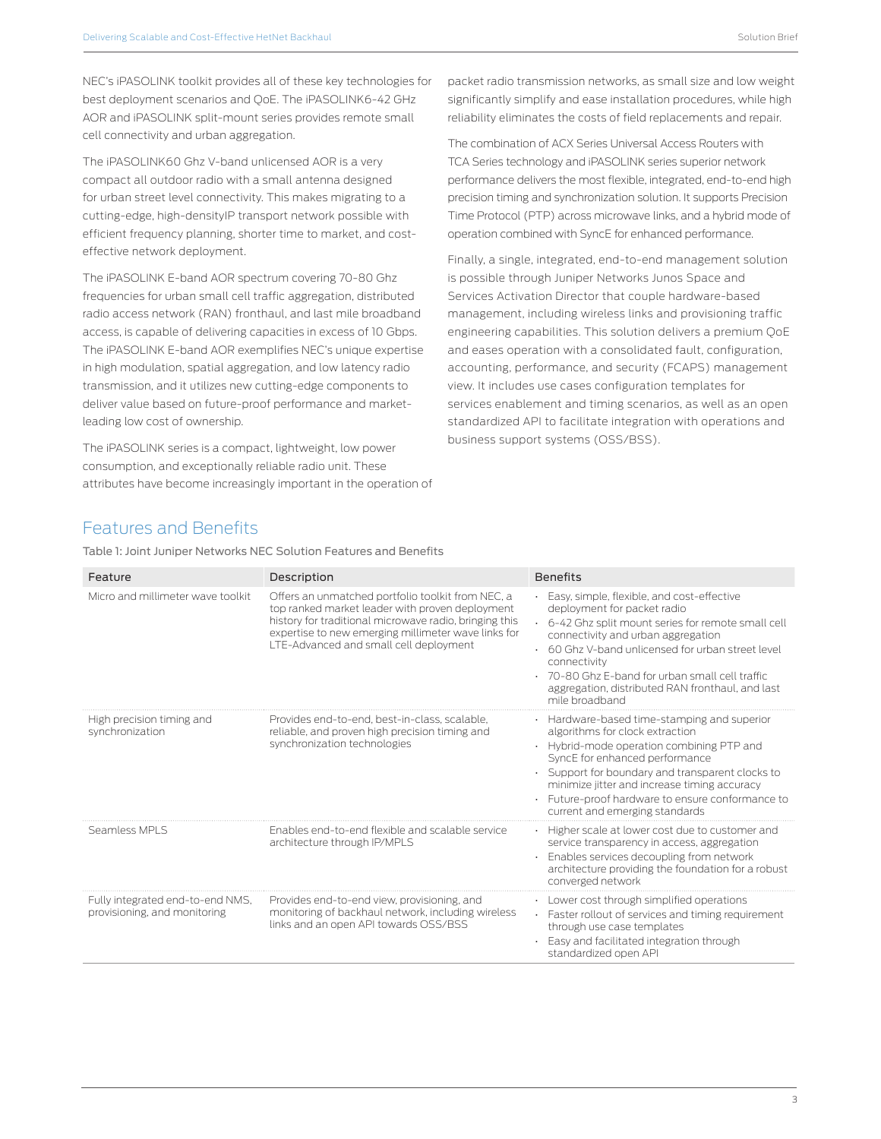NEC's iPASOLINK toolkit provides all of these key technologies for best deployment scenarios and QoE. The iPASOLINK6-42 GHz AOR and iPASOLINK split-mount series provides remote small cell connectivity and urban aggregation.

The iPASOLINK60 Ghz V-band unlicensed AOR is a very compact all outdoor radio with a small antenna designed for urban street level connectivity. This makes migrating to a cutting-edge, high-densityIP transport network possible with efficient frequency planning, shorter time to market, and costeffective network deployment.

The iPASOLINK E-band AOR spectrum covering 70-80 Ghz frequencies for urban small cell traffic aggregation, distributed radio access network (RAN) fronthaul, and last mile broadband access, is capable of delivering capacities in excess of 10 Gbps. The iPASOLINK E-band AOR exemplifies NEC's unique expertise in high modulation, spatial aggregation, and low latency radio transmission, and it utilizes new cutting-edge components to deliver value based on future-proof performance and marketleading low cost of ownership.

The iPASOLINK series is a compact, lightweight, low power consumption, and exceptionally reliable radio unit. These attributes have become increasingly important in the operation of packet radio transmission networks, as small size and low weight significantly simplify and ease installation procedures, while high reliability eliminates the costs of field replacements and repair.

The combination of ACX Series Universal Access Routers with TCA Series technology and iPASOLINK series superior network performance delivers the most flexible, integrated, end-to-end high precision timing and synchronization solution. It supports Precision Time Protocol (PTP) across microwave links, and a hybrid mode of operation combined with SyncE for enhanced performance.

Finally, a single, integrated, end-to-end management solution is possible through Juniper Networks Junos Space and Services Activation Director that couple hardware-based management, including wireless links and provisioning traffic engineering capabilities. This solution delivers a premium QoE and eases operation with a consolidated fault, configuration, accounting, performance, and security (FCAPS) management view. It includes use cases configuration templates for services enablement and timing scenarios, as well as an open standardized API to facilitate integration with operations and business support systems (OSS/BSS).

## Features and Benefits

Table 1: Joint Juniper Networks NEC Solution Features and Benefits

| Feature                                                          | Description                                                                                                                                                                                                                                                     | <b>Benefits</b>                                                                                                                                                                                                                                                                                                                                                    |
|------------------------------------------------------------------|-----------------------------------------------------------------------------------------------------------------------------------------------------------------------------------------------------------------------------------------------------------------|--------------------------------------------------------------------------------------------------------------------------------------------------------------------------------------------------------------------------------------------------------------------------------------------------------------------------------------------------------------------|
|                                                                  |                                                                                                                                                                                                                                                                 |                                                                                                                                                                                                                                                                                                                                                                    |
| Micro and millimeter wave toolkit                                | Offers an unmatched portfolio toolkit from NEC, a<br>top ranked market leader with proven deployment<br>history for traditional microwave radio, bringing this<br>expertise to new emerging millimeter wave links for<br>LTE-Advanced and small cell deployment | Easy, simple, flexible, and cost-effective<br>deployment for packet radio<br>6-42 Ghz split mount series for remote small cell<br>connectivity and urban aggregation<br>. 60 Ghz V-band unlicensed for urban street level<br>connectivity<br>· 70-80 Ghz E-band for urban small cell traffic<br>aggregation, distributed RAN fronthaul, and last<br>mile broadband |
| High precision timing and<br>synchronization                     | Provides end-to-end, best-in-class, scalable,<br>reliable, and proven high precision timing and<br>synchronization technologies                                                                                                                                 | Hardware-based time-stamping and superior<br>algorithms for clock extraction<br>• Hybrid-mode operation combining PTP and<br>SyncE for enhanced performance<br>Support for boundary and transparent clocks to<br>minimize jitter and increase timing accuracy<br>· Future-proof hardware to ensure conformance to<br>current and emerging standards                |
| Seamless MPLS                                                    | Enables end-to-end flexible and scalable service<br>architecture through IP/MPLS                                                                                                                                                                                | · Higher scale at lower cost due to customer and<br>service transparency in access, aggregation<br>· Enables services decoupling from network<br>architecture providing the foundation for a robust<br>converged network                                                                                                                                           |
| Fully integrated end-to-end NMS,<br>provisioning, and monitoring | Provides end-to-end view, provisioning, and<br>monitoring of backhaul network, including wireless<br>links and an open API towards OSS/BSS                                                                                                                      | • Lower cost through simplified operations<br>Faster rollout of services and timing requirement<br>through use case templates<br>Easy and facilitated integration through<br>standardized open API                                                                                                                                                                 |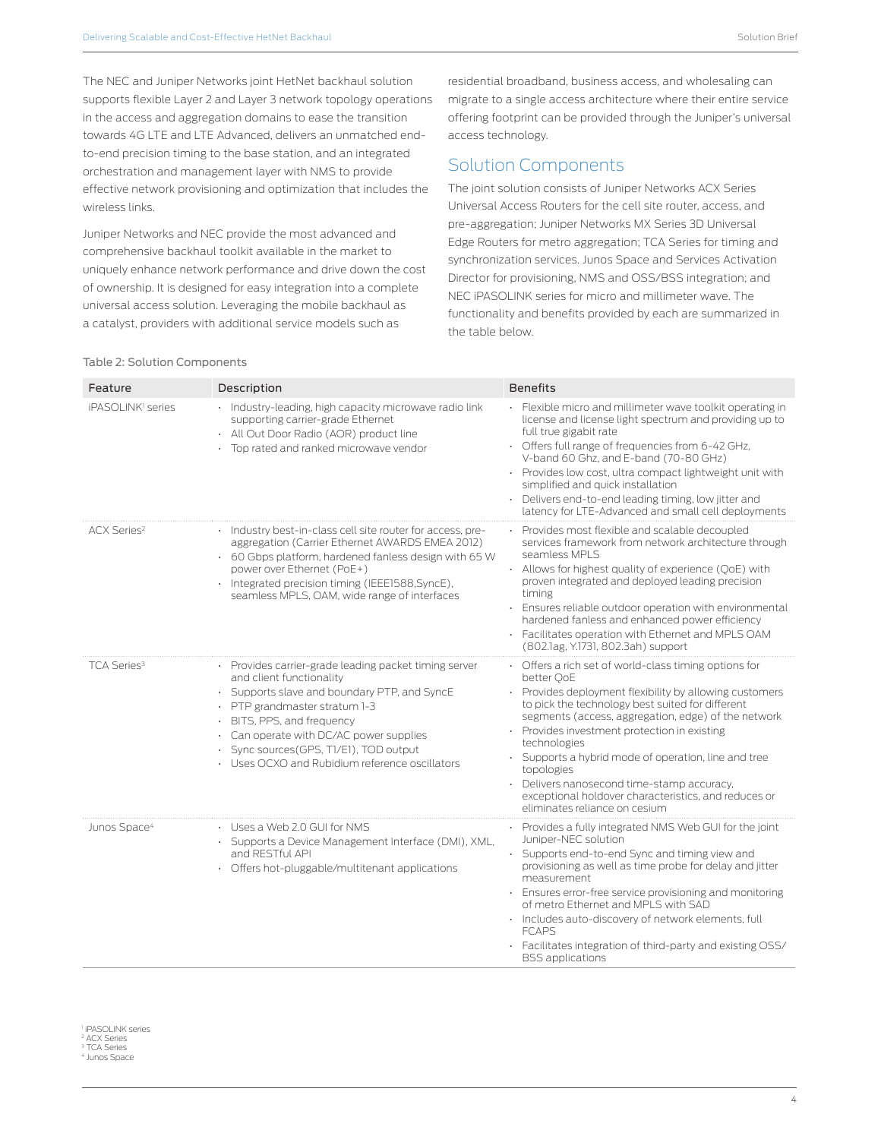The NEC and Juniper Networks joint HetNet backhaul solution supports flexible Layer 2 and Layer 3 network topology operations in the access and aggregation domains to ease the transition towards 4G LTE and LTE Advanced, delivers an unmatched endto-end precision timing to the base station, and an integrated orchestration and management layer with NMS to provide effective network provisioning and optimization that includes the wireless links.

Juniper Networks and NEC provide the most advanced and comprehensive backhaul toolkit available in the market to uniquely enhance network performance and drive down the cost of ownership. It is designed for easy integration into a complete universal access solution. Leveraging the mobile backhaul as a catalyst, providers with additional service models such as

residential broadband, business access, and wholesaling can migrate to a single access architecture where their entire service offering footprint can be provided through the Juniper's universal access technology.

## Solution Components

The joint solution consists of Juniper Networks ACX Series Universal Access Routers for the cell site router, access, and pre-aggregation; Juniper Networks MX Series 3D Universal Edge Routers for metro aggregation; TCA Series for timing and synchronization services. Junos Space and Services Activation Director for provisioning, NMS and OSS/BSS integration; and NEC iPASOLINK series for micro and millimeter wave. The functionality and benefits provided by each are summarized in the table below.

#### Table 2: Solution Components

| Feature                        | Description                                                                                                                                                                                                                                                                                                                                      | <b>Benefits</b>                                                                                                                                                                                                                                                                                                                                                                                                                                                                                                      |
|--------------------------------|--------------------------------------------------------------------------------------------------------------------------------------------------------------------------------------------------------------------------------------------------------------------------------------------------------------------------------------------------|----------------------------------------------------------------------------------------------------------------------------------------------------------------------------------------------------------------------------------------------------------------------------------------------------------------------------------------------------------------------------------------------------------------------------------------------------------------------------------------------------------------------|
| iPASOLINK <sup>1</sup> series  | · Industry-leading, high capacity microwave radio link<br>supporting carrier-grade Ethernet<br>- All Out Door Radio (AOR) product line<br>Top rated and ranked microwave vendor<br>٠                                                                                                                                                             | Elexible micro and millimeter wave toolkit operating in<br>license and license light spectrum and providing up to<br>full true gigabit rate<br>• Offers full range of frequencies from 6-42 GHz,<br>V-band 60 Ghz, and E-band (70-80 GHz)<br>· Provides low cost, ultra compact lightweight unit with<br>simplified and quick installation<br>· Delivers end-to-end leading timing, low jitter and<br>latency for LTE-Advanced and small cell deployments                                                            |
| ACX Series <sup>2</sup>        | Industry best-in-class cell site router for access, pre-<br>aggregation (Carrier Ethernet AWARDS EMEA 2012)<br>60 Gbps platform, hardened fanless design with 65 W<br>¥.<br>power over Ethernet (PoE+)<br>Integrated precision timing (IEEE1588, SyncE),<br>¥.<br>seamless MPLS, OAM, wide range of interfaces                                   | · Provides most flexible and scalable decoupled<br>services framework from network architecture through<br>seamless MPLS<br>· Allows for highest quality of experience (OoE) with<br>proven integrated and deployed leading precision<br>timing<br>· Ensures reliable outdoor operation with environmental<br>hardened fanless and enhanced power efficiency<br>• Facilitates operation with Ethernet and MPLS OAM<br>(802.lag, Y.1731, 802.3ah) support                                                             |
| <b>TCA Series</b> <sup>3</sup> | Provides carrier-grade leading packet timing server<br>and client functionality<br>Supports slave and boundary PTP, and SyncE<br>$\cdot$<br>PTP grandmaster stratum 1-3<br>$\cdot$<br>BITS, PPS, and frequency<br>Can operate with DC/AC power supplies<br>Sync sources (GPS, T1/E1), TOD output<br>Uses OCXO and Rubidium reference oscillators | • Offers a rich set of world-class timing options for<br>better OoE<br>· Provides deployment flexibility by allowing customers<br>to pick the technology best suited for different<br>segments (access, aggregation, edge) of the network<br>· Provides investment protection in existing<br>technologies<br>· Supports a hybrid mode of operation, line and tree<br>topologies<br>Delivers nanosecond time-stamp accuracy,<br>exceptional holdover characteristics, and reduces or<br>eliminates reliance on cesium |
| Junos Space <sup>4</sup>       | • Uses a Web 2.0 GUI for NMS<br>· Supports a Device Management Interface (DMI), XML,<br>and RESTful API<br>Offers hot-pluggable/multitenant applications                                                                                                                                                                                         | Provides a fully integrated NMS Web GUI for the joint<br>Juniper-NEC solution<br>· Supports end-to-end Sync and timing view and<br>provisioning as well as time probe for delay and jitter<br>measurement<br>· Ensures error-free service provisioning and monitoring<br>of metro Ethernet and MPLS with SAD<br>· Includes auto-discovery of network elements, full<br><b>FCAPS</b><br>· Facilitates integration of third-party and existing OSS/<br><b>BSS</b> applications                                         |